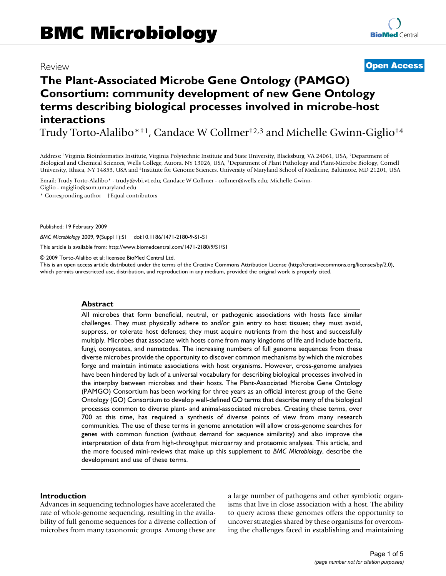## Review **[Open Access](http://www.biomedcentral.com/info/about/charter/)**

# **The Plant-Associated Microbe Gene Ontology (PAMGO) Consortium: community development of new Gene Ontology terms describing biological processes involved in microbe-host interactions**

Trudy Torto-Alalibo\*†1, Candace W Collmer†2,3 and Michelle Gwinn-Giglio†4

Address: 1Virginia Bioinformatics Institute, Virginia Polytechnic Institute and State University, Blacksburg, VA 24061, USA, 2Department of Biological and Chemical Sciences, Wells College, Aurora, NY 13026, USA, 3Department of Plant Pathology and Plant-Microbe Biology, Cornell University, Ithaca, NY 14853, USA and 4Institute for Genome Sciences, University of Maryland School of Medicine, Baltimore, MD 21201, USA

Email: Trudy Torto-Alalibo\* - trudy@vbi.vt.edu; Candace W Collmer - collmer@wells.edu; Michelle Gwinn-Giglio - mgiglio@som.umaryland.edu

\* Corresponding author †Equal contributors

Published: 19 February 2009

*BMC Microbiology* 2009, **9**(Suppl 1):S1 doi:10.1186/1471-2180-9-S1-S1

[This article is available from: http://www.biomedcentral.com/1471-2180/9/S1/S1](http://www.biomedcentral.com/1471-2180/9/S1/S1)

© 2009 Torto-Alalibo et al; licensee BioMed Central Ltd.

This is an open access article distributed under the terms of the Creative Commons Attribution License [\(http://creativecommons.org/licenses/by/2.0\)](http://creativecommons.org/licenses/by/2.0), which permits unrestricted use, distribution, and reproduction in any medium, provided the original work is properly cited.

#### **Abstract**

All microbes that form beneficial, neutral, or pathogenic associations with hosts face similar challenges. They must physically adhere to and/or gain entry to host tissues; they must avoid, suppress, or tolerate host defenses; they must acquire nutrients from the host and successfully multiply. Microbes that associate with hosts come from many kingdoms of life and include bacteria, fungi, oomycetes, and nematodes. The increasing numbers of full genome sequences from these diverse microbes provide the opportunity to discover common mechanisms by which the microbes forge and maintain intimate associations with host organisms. However, cross-genome analyses have been hindered by lack of a universal vocabulary for describing biological processes involved in the interplay between microbes and their hosts. The Plant-Associated Microbe Gene Ontology (PAMGO) Consortium has been working for three years as an official interest group of the Gene Ontology (GO) Consortium to develop well-defined GO terms that describe many of the biological processes common to diverse plant- and animal-associated microbes. Creating these terms, over 700 at this time, has required a synthesis of diverse points of view from many research communities. The use of these terms in genome annotation will allow cross-genome searches for genes with common function (without demand for sequence similarity) and also improve the interpretation of data from high-throughput microarray and proteomic analyses. This article, and the more focused mini-reviews that make up this supplement to *BMC Microbiology*, describe the development and use of these terms.

#### **Introduction**

Advances in sequencing technologies have accelerated the rate of whole-genome sequencing, resulting in the availability of full genome sequences for a diverse collection of microbes from many taxonomic groups. Among these are a large number of pathogens and other symbiotic organisms that live in close association with a host. The ability to query across these genomes offers the opportunity to uncover strategies shared by these organisms for overcoming the challenges faced in establishing and maintaining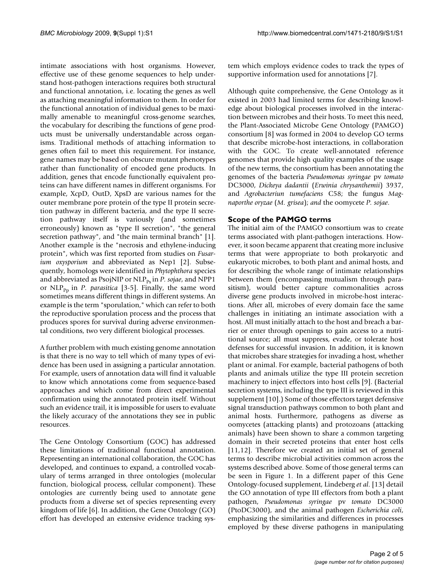intimate associations with host organisms. However, effective use of these genome sequences to help understand host-pathogen interactions requires both structural and functional annotation, i.e. locating the genes as well as attaching meaningful information to them. In order for the functional annotation of individual genes to be maximally amenable to meaningful cross-genome searches, the vocabulary for describing the functions of gene products must be universally understandable across organisms. Traditional methods of attaching information to genes often fail to meet this requirement. For instance, gene names may be based on obscure mutant phenotypes rather than functionality of encoded gene products. In addition, genes that encode functionally equivalent proteins can have different names in different organisms. For example, XcpD, OutD, XpsD are various names for the outer membrane pore protein of the type II protein secretion pathway in different bacteria, and the type II secretion pathway itself is variously (and sometimes erroneously) known as "type II secretion", "the general secretion pathway", and "the main terminal branch" [1]. Another example is the "necrosis and ethylene-inducing protein", which was first reported from studies on *Fusarium oxysporium* and abbreviated as Nep1 [2]. Subsequently, homologs were identified in *Phytophthora* species and abbreviated as PsojNIP or NLP<sub>Ps</sub> in *P. sojae*, and NPP1 or NLP<sub>Pp</sub> in *P. parasitica* [3-5]. Finally, the same word sometimes means different things in different systems. An example is the term "sporulation," which can refer to both the reproductive sporulation process and the process that produces spores for survival during adverse environmental conditions, two very different biological processes.

A further problem with much existing genome annotation is that there is no way to tell which of many types of evidence has been used in assigning a particular annotation. For example, users of annotation data will find it valuable to know which annotations come from sequence-based approaches and which come from direct experimental confirmation using the annotated protein itself. Without such an evidence trail, it is impossible for users to evaluate the likely accuracy of the annotations they see in public resources.

The Gene Ontology Consortium (GOC) has addressed these limitations of traditional functional annotation. Representing an international collaboration, the GOC has developed, and continues to expand, a controlled vocabulary of terms arranged in three ontologies (molecular function, biological process, cellular component). These ontologies are currently being used to annotate gene products from a diverse set of species representing every kingdom of life [6]. In addition, the Gene Ontology (GO) effort has developed an extensive evidence tracking system which employs evidence codes to track the types of supportive information used for annotations [7].

Although quite comprehensive, the Gene Ontology as it existed in 2003 had limited terms for describing knowledge about biological processes involved in the interaction between microbes and their hosts. To meet this need, the Plant-Associated Microbe Gene Ontology (PAMGO) consortium [8] was formed in 2004 to develop GO terms that describe microbe-host interactions, in collaboration with the GOC. To create well-annotated reference genomes that provide high quality examples of the usage of the new terms, the consortium has been annotating the genomes of the bacteria *Pseudomonas syringae* pv *tomato* DC3000, *Dickeya dadantii* (*Erwinia chrysanthemii*) 3937, and *Agrobacteriun tumefaciens* C58; the fungus *Magnaporthe oryzae* (*M. grisea*); *and* the oomycete *P. sojae*.

#### **Scope of the PAMGO terms**

The initial aim of the PAMGO consortium was to create terms associated with plant-pathogen interactions. However, it soon became apparent that creating more inclusive terms that were appropriate to both prokaryotic and eukaryotic microbes, to both plant and animal hosts, and for describing the whole range of intimate relationships between them (encompassing mutualism through parasitism), would better capture commonalities across diverse gene products involved in microbe-host interactions. After all, microbes of every domain face the same challenges in initiating an intimate association with a host. All must initially attach to the host and breach a barrier or enter through openings to gain access to a nutritional source; all must suppress, evade, or tolerate host defenses for successful invasion. In addition, it is known that microbes share strategies for invading a host, whether plant or animal. For example, bacterial pathogens of both plants and animals utilize the type III protein secretion machinery to inject effectors into host cells [9]. (Bacterial secretion systems, including the type III is reviewed in this supplement [10].) Some of those effectors target defensive signal transduction pathways common to both plant and animal hosts. Furthermore, pathogens as diverse as oomycetes (attacking plants) and protozoans (attacking animals) have been shown to share a common targeting domain in their secreted proteins that enter host cells [11,12]. Therefore we created an initial set of general terms to describe microbial activities common across the systems described above. Some of those general terms can be seen in Figure 1. In a different paper of this Gene Ontology-focused supplement, Lindeberg *et al*. [13] detail the GO annotation of type III effectors from both a plant pathogen, *Pseudomonas syringae* pv *tomato* DC3000 (PtoDC3000), and the animal pathogen *Escherichia coli*, emphasizing the similarities and differences in processes employed by these diverse pathogens in manipulating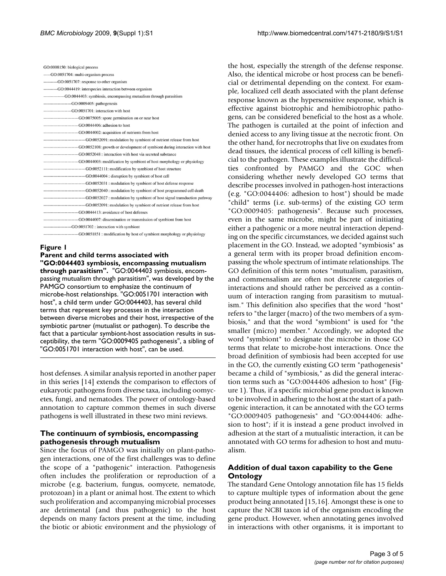| GO:0008150: biological process                                                                       |
|------------------------------------------------------------------------------------------------------|
| -----GO:0051704: multi-organism process                                                              |
| ---------GO:0051707: response to other organism                                                      |
| ---------GO:0044419: interspecies interaction between organism                                       |
| -------------------GO:0044403: symbiosis, encompassing mutualism through parasitism                  |
| -----------------------------GO:0009405: pathogenesis                                                |
|                                                                                                      |
|                                                                                                      |
|                                                                                                      |
|                                                                                                      |
|                                                                                                      |
|                                                                                                      |
|                                                                                                      |
|                                                                                                      |
|                                                                                                      |
|                                                                                                      |
|                                                                                                      |
| ----------------------------------GO:0052040 : modulation by symbiont of host programmed cell death  |
|                                                                                                      |
|                                                                                                      |
|                                                                                                      |
|                                                                                                      |
|                                                                                                      |
| ------------------------------GO:0051851 : modification by host of symbiont morphology or physiology |

#### **Figure 1**

**Parent and child terms associated with "GO:0044403 symbiosis, encompassing mutualism through parasitism".** "GO:0044403 symbiosis, encompassing mutualism through parasitism", was developed by the PAMGO consortium to emphasize the continuum of microbe-host relationships. "GO:0051701 interaction with host", a child term under GO:0044403, has several child terms that represent key processes in the interaction between diverse microbes and their host, irrespective of the symbiotic partner (mutualist or pathogen). To describe the fact that a particular symbiont-host association results in susceptibility, the term "GO:0009405 pathogenesis", a sibling of "GO:0051701 interaction with host", can be used.

host defenses. A similar analysis reported in another paper in this series [14] extends the comparison to effectors of eukaryotic pathogens from diverse taxa, including oomycetes, fungi, and nematodes. The power of ontology-based annotation to capture common themes in such diverse pathogens is well illustrated in these two mini reviews.

#### **The continuum of symbiosis, encompassing pathogenesis through mutualism**

Since the focus of PAMGO was initially on plant-pathogen interactions, one of the first challenges was to define the scope of a "pathogenic" interaction. Pathogenesis often includes the proliferation or reproduction of a microbe (e.g. bacterium, fungus, oomycete, nematode, protozoan) in a plant or animal host. The extent to which such proliferation and accompanying microbial processes are detrimental (and thus pathogenic) to the host depends on many factors present at the time, including the biotic or abiotic environment and the physiology of the host, especially the strength of the defense response. Also, the identical microbe or host process can be beneficial or detrimental depending on the context. For example, localized cell death associated with the plant defense response known as the hypersensitive response, which is effective against biotrophic and hemibiotrophic pathogens, can be considered beneficial to the host as a whole. The pathogen is curtailed at the point of infection and denied access to any living tissue at the necrotic front. On the other hand, for necrotrophs that live on exudates from dead tissues, the identical process of cell killing is beneficial to the pathogen. These examples illustrate the difficulties confronted by PAMGO and the GOC when considering whether newly developed GO terms that describe processes involved in pathogen-host interactions (e.g. "GO:0044406: adhesion to host") should be made "child" terms (i.e. sub-terms) of the existing GO term "GO:0009405: pathogenesis". Because such processes, even in the same microbe, might be part of initiating either a pathogenic or a more neutral interaction depending on the specific circumstances, we decided against such placement in the GO. Instead, we adopted "symbiosis" as a general term with its proper broad definition encompassing the whole spectrum of intimate relationships. The GO definition of this term notes "mutualism, parasitism, and commensalism are often not discrete categories of interactions and should rather be perceived as a continuum of interaction ranging from parasitism to mutualism." This definition also specifies that the word "host" refers to "the larger (macro) of the two members of a symbiosis," and that the word "symbiont" is used for "the smaller (micro) member." Accordingly, we adopted the word "symbiont" to designate the microbe in those GO terms that relate to microbe-host interactions. Once the broad definition of symbiosis had been accepted for use in the GO, the currently existing GO term "pathogenesis" became a child of "symbiosis," as did the general interaction terms such as "GO:0044406 adhesion to host" (Figure 1). Thus, if a specific microbial gene product is known to be involved in adhering to the host at the start of a pathogenic interaction, it can be annotated with the GO terms "GO:0009405 pathogenesis" and "GO:0044406: adhesion to host"; if it is instead a gene product involved in adhesion at the start of a mutualistic interaction, it can be annotated with GO terms for adhesion to host and mutualism.

#### **Addition of dual taxon capability to the Gene Ontology**

The standard Gene Ontology annotation file has 15 fields to capture multiple types of information about the gene product being annotated [15,16]. Amongst these is one to capture the NCBI taxon id of the organism encoding the gene product. However, when annotating genes involved in interactions with other organisms, it is important to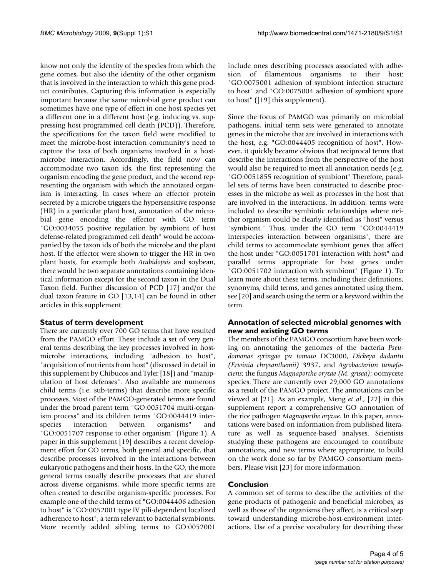know not only the identity of the species from which the gene comes, but also the identity of the other organism that is involved in the interaction to which this gene product contributes. Capturing this information is especially important because the same microbial gene product can sometimes have one type of effect in one host species yet a different one in a different host (e.g. inducing vs. suppressing host programmed cell death (PCD)). Therefore, the specifications for the taxon field were modified to meet the microbe-host interaction community's need to capture the taxa of both organisms involved in a hostmicrobe interaction. Accordingly, the field now can accommodate two taxon ids, the first representing the organism encoding the gene product, and the second representing the organism with which the annotated organism is interacting. In cases where an effector protein secreted by a microbe triggers the hypersensitive response (HR) in a particular plant host, annotation of the microbial gene encoding the effector with GO term "GO:0034055 positive regulation by symbiont of host defense-related programmed cell death" would be accompanied by the taxon ids of both the microbe and the plant host. If the effector were shown to trigger the HR in two plant hosts, for example both *Arabidopsis* and soybean, there would be two separate annotations containing identical information except for the second taxon in the Dual Taxon field. Further discussion of PCD [17] and/or the dual taxon feature in GO [13,14] can be found in other articles in this supplement.

#### **Status of term development**

There are currently over 700 GO terms that have resulted from the PAMGO effort. These include a set of very general terms describing the key processes involved in hostmicrobe interactions, including "adhesion to host", "acquisition of nutrients from host" (discussed in detail in this supplement by Chibucos and Tyler [18]) and "manipulation of host defenses". Also available are numerous child terms (i.e. sub-terms) that describe more specific processes. Most of the PAMGO-generated terms are found under the broad parent term "GO:0051704 multi-organism process" and its children terms "GO:0044419 interspecies interaction between organisms" and "GO:0051707 response to other organism" (Figure 1). A paper in this supplement [19] describes a recent development effort for GO terms, both general and specific, that describe processes involved in the interactions between eukaryotic pathogens and their hosts. In the GO, the more general terms usually describe processes that are shared across diverse organisms, while more specific terms are often created to describe organism-specific processes. For example one of the child terms of "GO:0044406 adhesion to host" is "GO:0052001 type IV pili-dependent localized adherence to host", a term relevant to bacterial symbionts. More recently added sibling terms to GO:0052001

include ones describing processes associated with adhesion of filamentous organisms to their host: "GO:0075001 adhesion of symbiont infection structure to host" and "GO:0075004 adhesion of symbiont spore to host" ([19] this supplement).

Since the focus of PAMGO was primarily on microbial pathogens, initial term sets were generated to annotate genes in the microbe that are involved in interactions with the host, e.g. "GO:0044405 recognition of host". However, it quickly became obvious that reciprocal terms that describe the interactions from the perspective of the host would also be required to meet all annotation needs (e.g. "GO:0051855 recognition of symbiont" Therefore, parallel sets of terms have been constructed to describe processes in the microbe as well as processes in the host that are involved in the interactions. In addition, terms were included to describe symbiotic relationships where neither organism could be clearly identified as "host" versus "symbiont." Thus, under the GO term "GO:0044419 interspecies interaction between organisms", there are child terms to accommodate symbiont genes that affect the host under "GO:0051701 interaction with host" and parallel terms appropriate for host genes under "GO:0051702 interaction with symbiont" (Figure 1). To learn more about these terms, including their definitions, synonyms, child terms, and genes annotated using them, see [20] and search using the term or a keyword within the term.

#### **Annotation of selected microbial genomes with new and existing GO terms**

The members of the PAMGO consortium have been working on annotating the genomes of the bacteria *Pseudomonas syringae* pv *tomato* DC3000, *Dickeya dadantii (Erwinia chrysanthemii)* 3937, and *Agrobacteriun tumefaciens*; the fungus *Magnaporthe oryzae (M. grisea)*; oomycete species. There are currently over 29,000 GO annotations as a result of the PAMGO project. The annotations can be viewed at [21]. As an example, Meng *et al*., [22] in this supplement report a comprehensive GO annotation of the rice pathogen *Magnaporthe oryzae*. In this paper, annotations were based on information from published literature as well as sequence-based analyses. Scientists studying these pathogens are encouraged to contribute annotations, and new terms where appropriate, to build on the work done so far by PAMGO consortium members. Please visit [23] for more information.

### **Conclusion**

A common set of terms to describe the activities of the gene products of pathogenic and beneficial microbes, as well as those of the organisms they affect, is a critical step toward understanding microbe-host-environment interactions. Use of a precise vocabulary for describing these